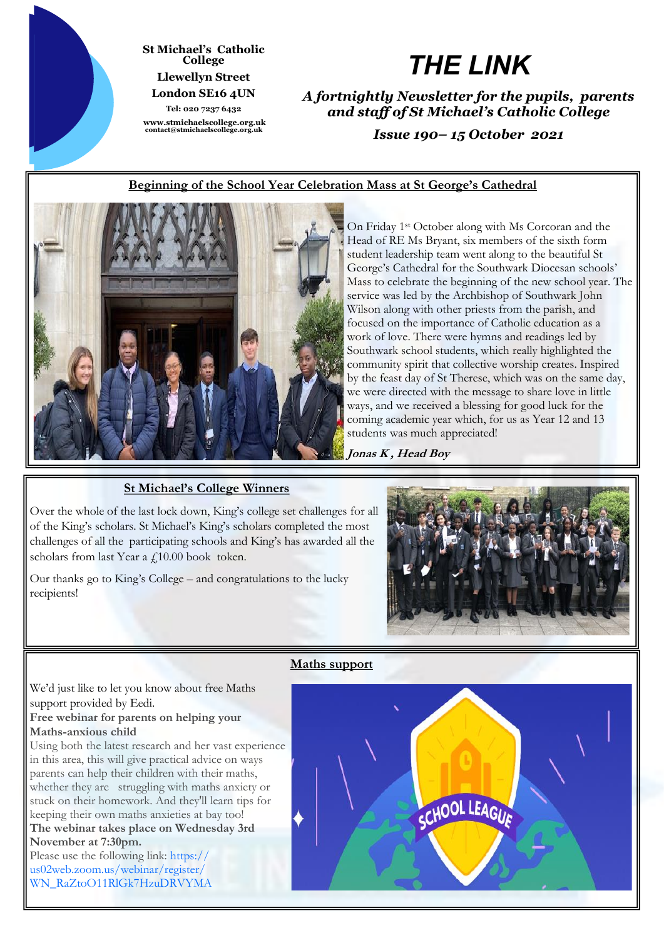

#### **St Michael's Catholic College Llewellyn Street London SE16 4UN**

**Tel: 020 7237 6432 www.stmichaelscollege.org.uk contact@stmichaelscollege.org.uk**

# *THE LINK*

*A fortnightly Newsletter for the pupils, parents and staff of St Michael's Catholic College*

*Issue 190– 15 October 2021*

# **Beginning of the School Year Celebration Mass at St George's Cathedral**



On Friday 1st October along with Ms Corcoran and the Head of RE Ms Bryant, six members of the sixth form student leadership team went along to the beautiful St George's Cathedral for the Southwark Diocesan schools' Mass to celebrate the beginning of the new school year. The service was led by the Archbishop of Southwark John Wilson along with other priests from the parish, and focused on the importance of Catholic education as a work of love. There were hymns and readings led by Southwark school students, which really highlighted the community spirit that collective worship creates. Inspired by the feast day of St Therese, which was on the same day, we were directed with the message to share love in little ways, and we received a blessing for good luck for the coming academic year which, for us as Year 12 and 13 students was much appreciated!

**Jonas K , Head Boy** 

# **St Michael's College Winners**

Over the whole of the last lock down, King's college set challenges for all of the King's scholars. St Michael's King's scholars completed the most challenges of all the participating schools and King's has awarded all the scholars from last Year a £10.00 book token.

Our thanks go to King's College – and congratulations to the lucky recipients!



#### **Maths support**

We'd just like to let you know about free Maths support provided by Eedi.

### **Free webinar for parents on helping your Maths-anxious child**

Using both the latest research and her vast experience in this area, this will give practical advice on ways parents can help their children with their maths, whether they are struggling with maths anxiety or stuck on their homework. And they'll learn tips for keeping their own maths anxieties at bay too! **The webinar takes place on Wednesday 3rd** 

# **November at 7:30pm.**

Please use the following link: [https://](https://diagnosticquestions.us14.list-manage.com/track/click?u=2603fe95bdcec4f6c05864497&id=61c8babfe1&e=ff28aa0ac4) [us02web.zoom.us/webinar/register/](https://diagnosticquestions.us14.list-manage.com/track/click?u=2603fe95bdcec4f6c05864497&id=61c8babfe1&e=ff28aa0ac4) [WN\\_RaZtoO11RlGk7HzuDRVYMA](https://diagnosticquestions.us14.list-manage.com/track/click?u=2603fe95bdcec4f6c05864497&id=61c8babfe1&e=ff28aa0ac4)

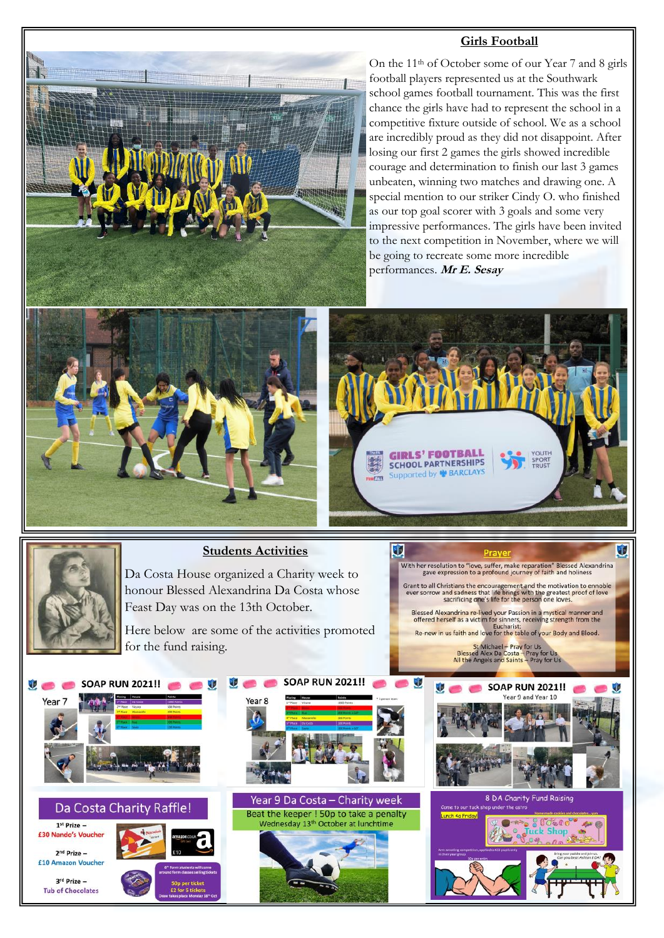#### **Girls Football**





#### Da Costa Charity Raffle

1st Prize -£30 Nando's Vouche

 $2<sup>nd</sup> Prize -$ £10 Amazon Voucher

 $3<sup>rd</sup>$  Prize  $-$ 





U.

**CONTRACTOR** 



**SOAP RUN 2021!!**